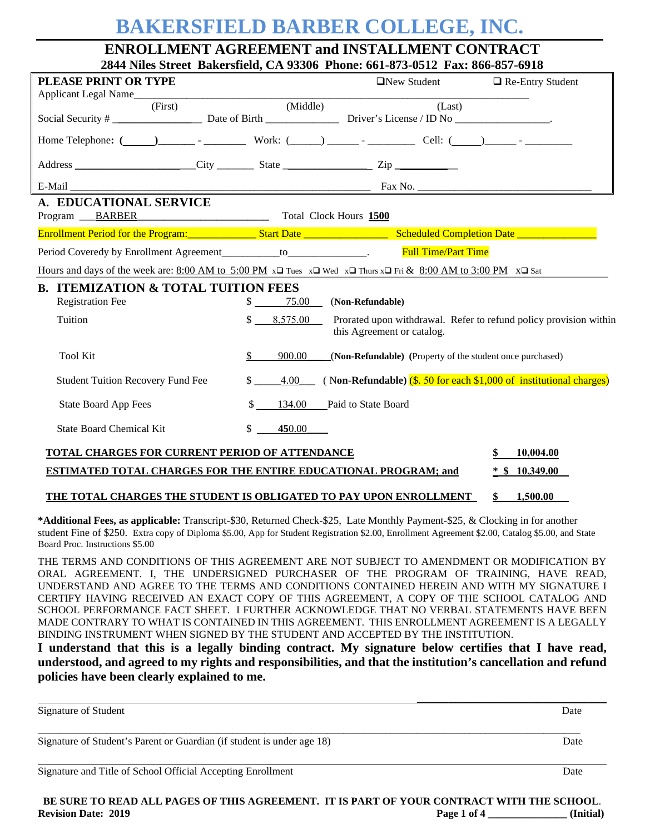# **BAKERSFIELD BARBER COLLEGE, INC.**

**ENROLLMENT AGREEMENT and INSTALLMENT CONTRACT 2844 Niles Street Bakersfield, CA 93306 Phone: 661-873-0512 Fax: 866-857-6918**

| PLEASE PRINT OR TYPE                                                                                                                         |                                        | $\Box$ New Student                                                                              | $\Box$ Re-Entry Student |
|----------------------------------------------------------------------------------------------------------------------------------------------|----------------------------------------|-------------------------------------------------------------------------------------------------|-------------------------|
| Applicant Legal Name<br>(First)                                                                                                              | (Middle)                               | (Last)                                                                                          |                         |
|                                                                                                                                              |                                        |                                                                                                 |                         |
|                                                                                                                                              |                                        |                                                                                                 |                         |
|                                                                                                                                              |                                        |                                                                                                 |                         |
| E-Mail                                                                                                                                       |                                        |                                                                                                 |                         |
| A. EDUCATIONAL SERVICE<br>Program BARBER Total Clock Hours 1500                                                                              |                                        |                                                                                                 |                         |
|                                                                                                                                              |                                        |                                                                                                 |                         |
| Period Coveredy by Enrollment Agreement___________to_______________. Full Time/Part Time                                                     |                                        |                                                                                                 |                         |
| Hours and days of the week are: $8:00$ AM to $5:00$ PM $x\Box$ Tues $x\Box$ Wed $x\Box$ Thurs $x\Box$ Fri & $8:00$ AM to 3:00 PM $x\Box$ Sat |                                        |                                                                                                 |                         |
| <b>B. ITEMIZATION &amp; TOTAL TUITION FEES</b>                                                                                               |                                        |                                                                                                 |                         |
| <b>Registration Fee</b>                                                                                                                      | 75.00<br>$\mathbb{S}$ and $\mathbb{S}$ | (Non-Refundable)                                                                                |                         |
| Tuition                                                                                                                                      | $\mathbb{S}$<br>8,575.00               | Prorated upon withdrawal. Refer to refund policy provision within<br>this Agreement or catalog. |                         |
| <b>Tool Kit</b>                                                                                                                              | $\mathcal{S}$<br>900.00                | (Non-Refundable) (Property of the student once purchased)                                       |                         |
| <b>Student Tuition Recovery Fund Fee</b>                                                                                                     | $\mathbb{S}$<br>4.00                   | (Non-Refundable) $(s. 50$ for each \$1,000 of institutional charges)                            |                         |
| <b>State Board App Fees</b>                                                                                                                  | 134.00<br>\$                           | Paid to State Board                                                                             |                         |
| <b>State Board Chemical Kit</b>                                                                                                              | \$<br>450.00                           |                                                                                                 |                         |
| TOTAL CHARGES FOR CURRENT PERIOD OF ATTENDANCE                                                                                               |                                        |                                                                                                 | 10,004.00               |
| ESTIMATED TOTAL CHARGES FOR THE ENTIRE EDUCATIONAL PROGRAM; and                                                                              |                                        |                                                                                                 | $*$ \$ 10,349.00        |
| THE TOTAL CHARGES THE STUDENT IS OBLIGATED TO PAY UPON ENROLLMENT                                                                            |                                        |                                                                                                 | \$<br>1,500.00          |

**\*Additional Fees, as applicable:** Transcript-\$30, Returned Check-\$25, Late Monthly Payment-\$25, & Clocking in for another student Fine of \$250. Extra copy of Diploma \$5.00, App for Student Registration \$2.00, Enrollment Agreement \$2.00, Catalog \$5.00, and State Board Proc. Instructions \$5.00

THE TERMS AND CONDITIONS OF THIS AGREEMENT ARE NOT SUBJECT TO AMENDMENT OR MODIFICATION BY ORAL AGREEMENT. I, THE UNDERSIGNED PURCHASER OF THE PROGRAM OF TRAINING, HAVE READ, UNDERSTAND AND AGREE TO THE TERMS AND CONDITIONS CONTAINED HEREIN AND WITH MY SIGNATURE I CERTIFY HAVING RECEIVED AN EXACT COPY OF THIS AGREEMENT, A COPY OF THE SCHOOL CATALOG AND SCHOOL PERFORMANCE FACT SHEET. I FURTHER ACKNOWLEDGE THAT NO VERBAL STATEMENTS HAVE BEEN MADE CONTRARY TO WHAT IS CONTAINED IN THIS AGREEMENT. THIS ENROLLMENT AGREEMENT IS A LEGALLY BINDING INSTRUMENT WHEN SIGNED BY THE STUDENT AND ACCEPTED BY THE INSTITUTION.

**I understand that this is a legally binding contract. My signature below certifies that I have read, understood, and agreed to my rights and responsibilities, and that the institution's cancellation and refund policies have been clearly explained to me.**

| Signature of Student                                                   | Date |
|------------------------------------------------------------------------|------|
| Signature of Student's Parent or Guardian (if student is under age 18) | Date |
| Signature and Title of School Official Accepting Enrollment            | Date |

**BE SURE TO READ ALL PAGES OF THIS AGREEMENT. IT IS PART OF YOUR CONTRACT WITH THE SCHOOL**. **Revision Date: 2019 Page 1 of 4 \_\_\_\_\_\_\_\_\_\_\_\_\_\_\_ (Initial)**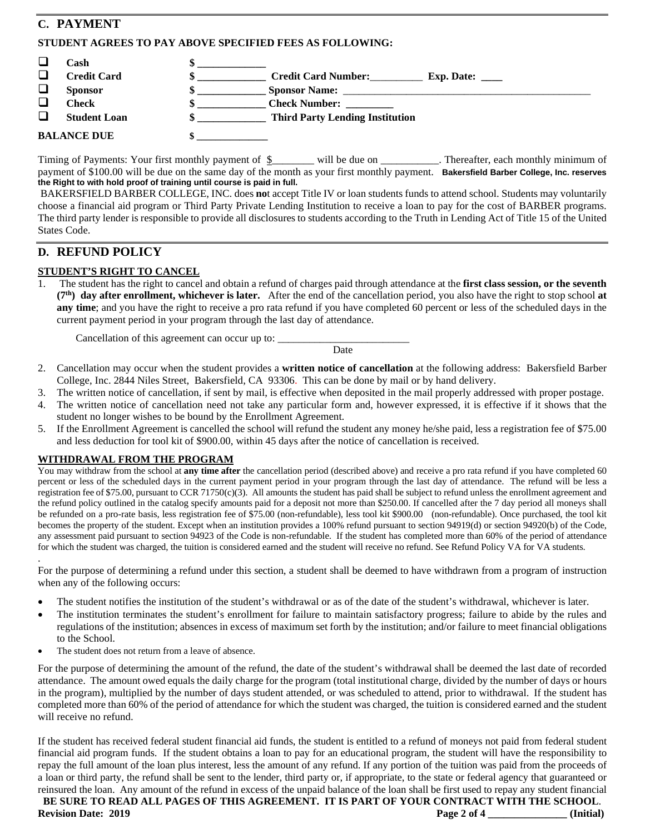# **C. PAYMENT**

### **STUDENT AGREES TO PAY ABOVE SPECIFIED FEES AS FOLLOWING:**

|   | Cash                |                                        |                            |
|---|---------------------|----------------------------------------|----------------------------|
|   | <b>Credit Card</b>  | <b>Credit Card Number:</b>             | Exp. Date: $\qquad \qquad$ |
| ⊔ | <b>Sponsor</b>      | <b>Sponsor Name:</b>                   |                            |
|   | Check               | <b>Check Number:</b>                   |                            |
|   | <b>Student Loan</b> | <b>Third Party Lending Institution</b> |                            |
|   | <b>BALANCE DUE</b>  |                                        |                            |

Timing of Payments: Your first monthly payment of  $\underline{\$$  will be due on \_\_\_\_\_\_\_\_\_\_. Thereafter, each monthly minimum of payment of \$100.00 will be due on the same day of the month as your first monthly payment. **Bakersfield Barber College, Inc. reserves the Right to with hold proof of training until course is paid in full.**

BAKERSFIELD BARBER COLLEGE, INC. does **no**t accept Title IV or loan students funds to attend school. Students may voluntarily choose a financial aid program or Third Party Private Lending Institution to receive a loan to pay for the cost of BARBER programs. The third party lender is responsible to provide all disclosures to students according to the Truth in Lending Act of Title 15 of the United States Code.

# **D. REFUND POLICY**

## **STUDENT'S RIGHT TO CANCEL**

1. The student has the right to cancel and obtain a refund of charges paid through attendance at the **first class session, or the seventh (7th) day after enrollment, whichever is later.** After the end of the cancellation period, you also have the right to stop school **at any time**; and you have the right to receive a pro rata refund if you have completed 60 percent or less of the scheduled days in the current payment period in your program through the last day of attendance.

Cancellation of this agreement can occur up to:

Date

- 2. Cancellation may occur when the student provides a **written notice of cancellation** at the following address: Bakersfield Barber College, Inc. 2844 Niles Street, Bakersfield, CA 93306. This can be done by mail or by hand delivery.
- 3. The written notice of cancellation, if sent by mail, is effective when deposited in the mail properly addressed with proper postage.
- 4. The written notice of cancellation need not take any particular form and, however expressed, it is effective if it shows that the student no longer wishes to be bound by the Enrollment Agreement.
- 5. If the Enrollment Agreement is cancelled the school will refund the student any money he/she paid, less a registration fee of \$75.00 and less deduction for tool kit of \$900.00, within 45 days after the notice of cancellation is received.

#### **WITHDRAWAL FROM THE PROGRAM**

You may withdraw from the school at **any time after** the cancellation period (described above) and receive a pro rata refund if you have completed 60 percent or less of the scheduled days in the current payment period in your program through the last day of attendance. The refund will be less a registration fee of \$75.00, pursuant to CCR 71750 $(c)(3)$ . All amounts the student has paid shall be subject to refund unless the enrollment agreement and the refund policy outlined in the catalog specify amounts paid for a deposit not more than \$250.00. If cancelled after the 7 day period all moneys shall be refunded on a pro-rate basis, less registration fee of \$75.00 (non-refundable), less tool kit \$900.00 (non-refundable). Once purchased, the tool kit becomes the property of the student. Except when an institution provides a 100% refund pursuant to section 94919(d) or section 94920(b) of the Code, any assessment paid pursuant to section 94923 of the Code is non-refundable. If the student has completed more than 60% of the period of attendance for which the student was charged, the tuition is considered earned and the student will receive no refund. See Refund Policy VA for VA students.

. For the purpose of determining a refund under this section, a student shall be deemed to have withdrawn from a program of instruction when any of the following occurs:

- The student notifies the institution of the student's withdrawal or as of the date of the student's withdrawal, whichever is later.
- The institution terminates the student's enrollment for failure to maintain satisfactory progress; failure to abide by the rules and regulations of the institution; absences in excess of maximum set forth by the institution; and/or failure to meet financial obligations to the School.
- The student does not return from a leave of absence.

For the purpose of determining the amount of the refund, the date of the student's withdrawal shall be deemed the last date of recorded attendance. The amount owed equals the daily charge for the program (total institutional charge, divided by the number of days or hours in the program), multiplied by the number of days student attended, or was scheduled to attend, prior to withdrawal. If the student has completed more than 60% of the period of attendance for which the student was charged, the tuition is considered earned and the student will receive no refund.

If the student has received federal student financial aid funds, the student is entitled to a refund of moneys not paid from federal student financial aid program funds. If the student obtains a loan to pay for an educational program, the student will have the responsibility to repay the full amount of the loan plus interest, less the amount of any refund. If any portion of the tuition was paid from the proceeds of a loan or third party, the refund shall be sent to the lender, third party or, if appropriate, to the state or federal agency that guaranteed or reinsured the loan. Any amount of the refund in excess of the unpaid balance of the loan shall be first used to repay any student financial

**BE SURE TO READ ALL PAGES OF THIS AGREEMENT. IT IS PART OF YOUR CONTRACT WITH THE SCHOOL**. **Revision Date: 2019****Page 2 of 4 \_\_\_\_\_\_\_\_\_\_\_\_\_\_\_ (Initial)**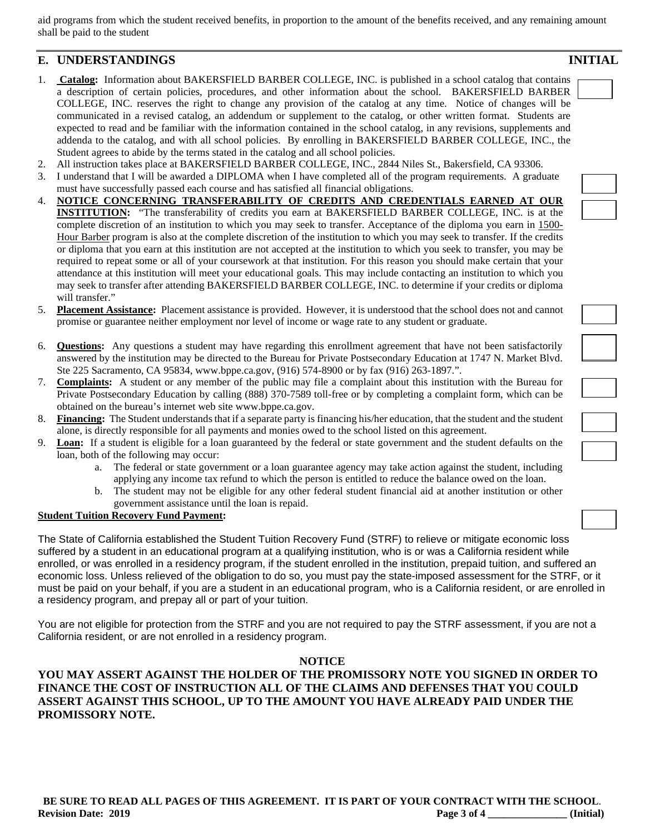aid programs from which the student received benefits, in proportion to the amount of the benefits received, and any remaining amount shall be paid to the student

# **E. UNDERSTANDINGS INITIAL**

- 1. **Catalog:** Information about BAKERSFIELD BARBER COLLEGE, INC. is published in a school catalog that contains a description of certain policies, procedures, and other information about the school. BAKERSFIELD BARBER COLLEGE, INC. reserves the right to change any provision of the catalog at any time. Notice of changes will be communicated in a revised catalog, an addendum or supplement to the catalog, or other written format. Students are expected to read and be familiar with the information contained in the school catalog, in any revisions, supplements and addenda to the catalog, and with all school policies. By enrolling in BAKERSFIELD BARBER COLLEGE, INC., the Student agrees to abide by the terms stated in the catalog and all school policies.
- 2. All instruction takes place at BAKERSFIELD BARBER COLLEGE, INC., 2844 Niles St., Bakersfield, CA 93306.
- 3. I understand that I will be awarded a DIPLOMA when I have completed all of the program requirements. A graduate must have successfully passed each course and has satisfied all financial obligations.
- 4. **NOTICE CONCERNING TRANSFERABILITY OF CREDITS AND CREDENTIALS EARNED AT OUR INSTITUTION:** "The transferability of credits you earn at BAKERSFIELD BARBER COLLEGE, INC. is at the complete discretion of an institution to which you may seek to transfer. Acceptance of the diploma you earn in 1500- Hour Barber program is also at the complete discretion of the institution to which you may seek to transfer. If the credits or diploma that you earn at this institution are not accepted at the institution to which you seek to transfer, you may be required to repeat some or all of your coursework at that institution. For this reason you should make certain that your attendance at this institution will meet your educational goals. This may include contacting an institution to which you may seek to transfer after attending BAKERSFIELD BARBER COLLEGE, INC. to determine if your credits or diploma will transfer."
- 5. **Placement Assistance:** Placement assistance is provided. However, it is understood that the school does not and cannot promise or guarantee neither employment nor level of income or wage rate to any student or graduate.
- 6. **Questions:** Any questions a student may have regarding this enrollment agreement that have not been satisfactorily answered by the institution may be directed to the Bureau for Private Postsecondary Education at 1747 N. Market Blvd. Ste 225 Sacramento, CA 95834, www.bppe.ca.gov, (916) 574-8900 or by fax (916) 263-1897.".
- 7. **Complaints:** A student or any member of the public may file a complaint about this institution with the Bureau for Private Postsecondary Education by calling (888) 370-7589 toll-free or by completing a complaint form, which can be obtained on the bureau's internet web site www.bppe.ca.gov.
- 8. **Financing:** The Student understands that if a separate party is financing his/her education, that the student and the student alone, is directly responsible for all payments and monies owed to the school listed on this agreement.
- 9. **Loan:** If a student is eligible for a loan guaranteed by the federal or state government and the student defaults on the loan, both of the following may occur:
	- a. The federal or state government or a loan guarantee agency may take action against the student, including applying any income tax refund to which the person is entitled to reduce the balance owed on the loan.
	- b. The student may not be eligible for any other federal student financial aid at another institution or other government assistance until the loan is repaid.

### **Student Tuition Recovery Fund Payment:**

The State of California established the Student Tuition Recovery Fund (STRF) to relieve or mitigate economic loss suffered by a student in an educational program at a qualifying institution, who is or was a California resident while enrolled, or was enrolled in a residency program, if the student enrolled in the institution, prepaid tuition, and suffered an economic loss. Unless relieved of the obligation to do so, you must pay the state-imposed assessment for the STRF, or it must be paid on your behalf, if you are a student in an educational program, who is a California resident, or are enrolled in a residency program, and prepay all or part of your tuition.

You are not eligible for protection from the STRF and you are not required to pay the STRF assessment, if you are not a California resident, or are not enrolled in a residency program.

#### **NOTICE**

# **YOU MAY ASSERT AGAINST THE HOLDER OF THE PROMISSORY NOTE YOU SIGNED IN ORDER TO FINANCE THE COST OF INSTRUCTION ALL OF THE CLAIMS AND DEFENSES THAT YOU COULD ASSERT AGAINST THIS SCHOOL, UP TO THE AMOUNT YOU HAVE ALREADY PAID UNDER THE PROMISSORY NOTE.**